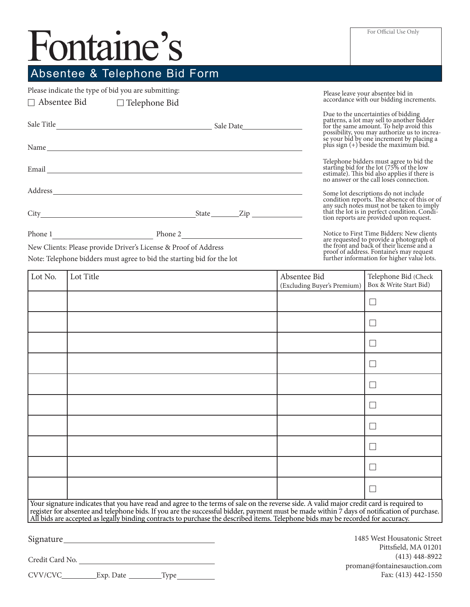## Fontaine's

## Absentee & Telephone Bid Form

Phone 1 Phone 2

New Clients: Please provide Driver's License & Proof of Address Note: Telephone bidders must agree to bid the starting bid for the lot

Please indicate the type of bid you are submitting:

| $\Box$ Absentee Bid $\Box$ Telephone Bid                                                                                                                                                                                       |  |  |
|--------------------------------------------------------------------------------------------------------------------------------------------------------------------------------------------------------------------------------|--|--|
| Sale Title Sale Date Sale Date Sale Date Sale Date Sale Date Sale Date Sale Date Sale Date Sale Date Sale Date Sale Date Sale Date Sale Date Sale Date Sale Date Sale Date Sale Date Sale Date Sale Date Sale Date Sale Date S |  |  |
|                                                                                                                                                                                                                                |  |  |
| Email and the contract of the contract of the contract of the contract of the contract of the contract of the contract of the contract of the contract of the contract of the contract of the contract of the contract of the  |  |  |
|                                                                                                                                                                                                                                |  |  |
|                                                                                                                                                                                                                                |  |  |

Please leave your absentee bid in accordance with our bidding increments.

Due to the uncertainties of bidding patterns, a lot may sell to another bidder for the same amount. To help avoid this possibility, you may authorize us to increa- se your bid by one increment by placing a plus sign (+) beside the maximum bid.

Telephone bidders must agree to bid the starting bid for the lot (75% of the low estimate). This bid also applies if there is no answer or the call loses connection.

Some lot descriptions do not include<br>condition reports. The absence of this or of<br>any such notes must not be taken to imply<br>that the lot is in perfect condition. Condition reports are provided upon request.

Notice to First Time Bidders: New clients are requested to provide a photograph of the front and back of their license and a proof of address. Fontaine's may request further information for higher value lots.

| Lot No.                                                                                                                                                                                                                                                                                                                                                                                                                     | Lot Title | Absentee Bid<br>(Excluding Buyer's Premium) | Telephone Bid (Check<br>Box & Write Start Bid) |
|-----------------------------------------------------------------------------------------------------------------------------------------------------------------------------------------------------------------------------------------------------------------------------------------------------------------------------------------------------------------------------------------------------------------------------|-----------|---------------------------------------------|------------------------------------------------|
|                                                                                                                                                                                                                                                                                                                                                                                                                             |           |                                             | $\mathbf{L}$                                   |
|                                                                                                                                                                                                                                                                                                                                                                                                                             |           |                                             | L                                              |
|                                                                                                                                                                                                                                                                                                                                                                                                                             |           |                                             | L                                              |
|                                                                                                                                                                                                                                                                                                                                                                                                                             |           |                                             | L                                              |
|                                                                                                                                                                                                                                                                                                                                                                                                                             |           |                                             |                                                |
|                                                                                                                                                                                                                                                                                                                                                                                                                             |           |                                             |                                                |
|                                                                                                                                                                                                                                                                                                                                                                                                                             |           |                                             | L                                              |
|                                                                                                                                                                                                                                                                                                                                                                                                                             |           |                                             |                                                |
|                                                                                                                                                                                                                                                                                                                                                                                                                             |           |                                             |                                                |
|                                                                                                                                                                                                                                                                                                                                                                                                                             |           |                                             | L                                              |
| Your signature indicates that you have read and agree to the terms of sale on the reverse side. A valid major credit card is required to<br>register for absentee and telephone bids. If you are the successful bidder, payment must be made within 7 days of notification of purchase.<br>All bids are accepted as legally binding contracts to purchase the described items. Telephone bids may be recorded for accuracy. |           |                                             |                                                |

Signature

Credit Card No.

CVV/CVC\_\_\_\_\_\_\_\_\_\_Exp. Date \_\_\_\_\_\_\_\_\_Type

1485 West Housatonic Street Pittsfield, MA 01201 (413) 448-8922 proman@fontainesauction.com Fax: (413) 442-1550